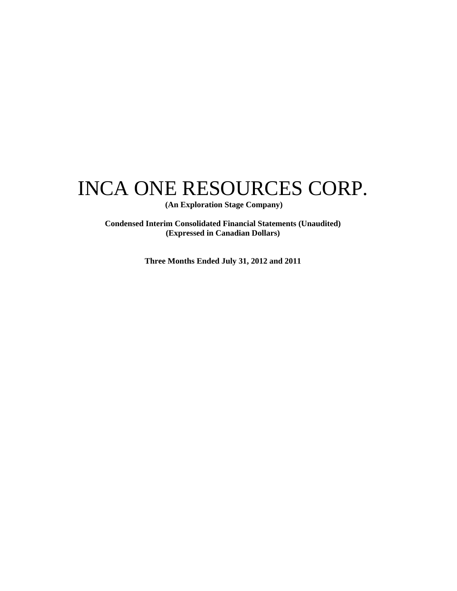# INCA ONE RESOURCES CORP.

 **(An Exploration Stage Company)** 

**Condensed Interim Consolidated Financial Statements (Unaudited) (Expressed in Canadian Dollars)** 

**Three Months Ended July 31, 2012 and 2011**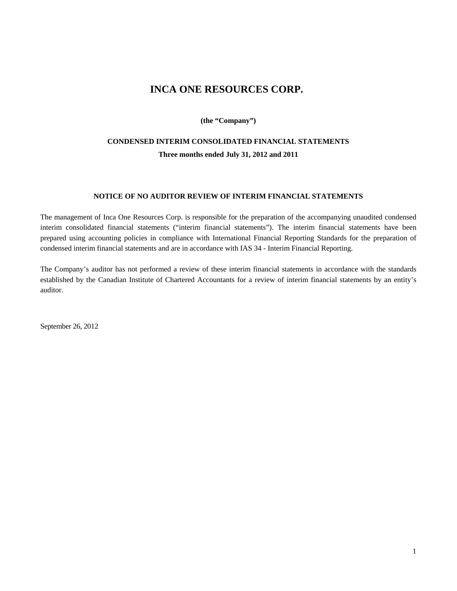### **INCA ONE RESOURCES CORP.**

**(the "Company")** 

### **CONDENSED INTERIM CONSOLIDATED FINANCIAL STATEMENTS Three months ended July 31, 2012 and 2011**

#### **NOTICE OF NO AUDITOR REVIEW OF INTERIM FINANCIAL STATEMENTS**

The management of Inca One Resources Corp. is responsible for the preparation of the accompanying unaudited condensed interim consolidated financial statements ("interim financial statements"). The interim financial statements have been prepared using accounting policies in compliance with International Financial Reporting Standards for the preparation of condensed interim financial statements and are in accordance with IAS 34 - Interim Financial Reporting.

The Company's auditor has not performed a review of these interim financial statements in accordance with the standards established by the Canadian Institute of Chartered Accountants for a review of interim financial statements by an entity's auditor.

September 26, 2012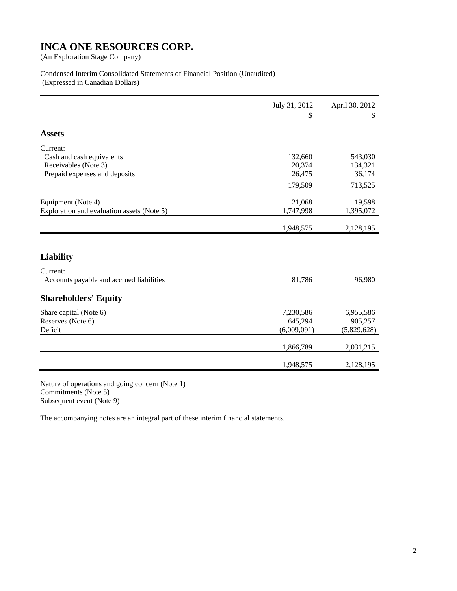#### Condensed Interim Consolidated Statements of Financial Position (Unaudited) (Expressed in Canadian Dollars)

| July 31, 2012 | April 30, 2012 |
|---------------|----------------|
| \$            | \$             |
|               |                |
|               |                |
| 132,660       | 543,030        |
| 20,374        | 134,321        |
| 26,475        | 36,174         |
| 179,509       | 713,525        |
| 21,068        | 19,598         |
| 1,747,998     | 1,395,072      |
|               | 2,128,195      |
|               |                |
|               |                |
| 81,786        | 96,980         |
|               |                |
| 7,230,586     | 6,955,586      |
| 645,294       | 905,257        |
| (6,009,091)   | (5,829,628)    |
| 1,866,789     | 2,031,215      |
| 1,948,575     | 2,128,195      |
|               | 1,948,575      |

Nature of operations and going concern (Note 1) Commitments (Note 5) Subsequent event (Note 9)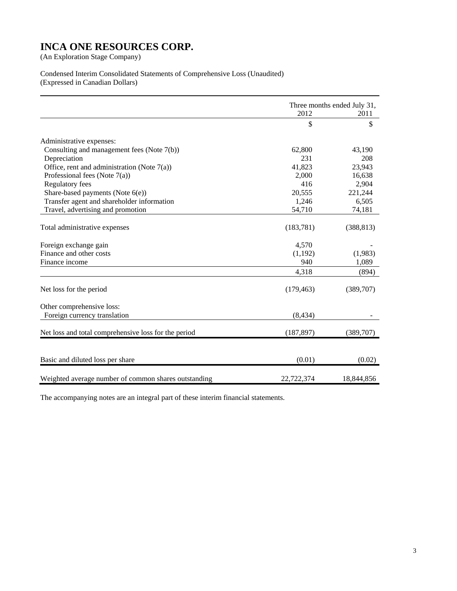#### Condensed Interim Consolidated Statements of Comprehensive Loss (Unaudited) (Expressed in Canadian Dollars)

|                                                      | Three months ended July 31, |            |
|------------------------------------------------------|-----------------------------|------------|
|                                                      | 2012                        | 2011       |
|                                                      | \$                          | \$         |
| Administrative expenses:                             |                             |            |
| Consulting and management fees (Note 7(b))           | 62,800                      | 43,190     |
| Depreciation                                         | 231                         | 208        |
| Office, rent and administration (Note $7(a)$ )       | 41,823                      | 23,943     |
| Professional fees (Note $7(a)$ )                     | 2,000                       | 16,638     |
| <b>Regulatory fees</b>                               | 416                         | 2,904      |
| Share-based payments (Note $6(e)$ )                  | 20,555                      | 221,244    |
| Transfer agent and shareholder information           | 1,246                       | 6,505      |
| Travel, advertising and promotion                    | 54,710                      | 74,181     |
| Total administrative expenses                        | (183, 781)                  | (388, 813) |
| Foreign exchange gain                                | 4,570                       |            |
| Finance and other costs                              | (1,192)                     | (1,983)    |
| Finance income                                       | 940                         | 1,089      |
|                                                      | 4,318                       | (894)      |
| Net loss for the period                              | (179, 463)                  | (389,707)  |
| Other comprehensive loss:                            |                             |            |
| Foreign currency translation                         | (8, 434)                    |            |
| Net loss and total comprehensive loss for the period | (187, 897)                  | (389,707)  |
| Basic and diluted loss per share                     | (0.01)                      | (0.02)     |
| Weighted average number of common shares outstanding | 22,722,374                  | 18,844,856 |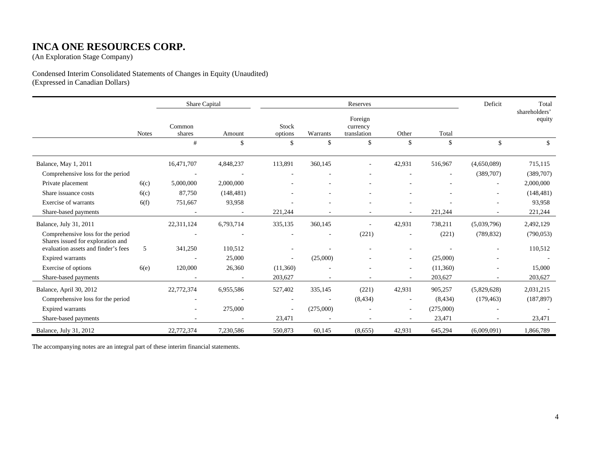### **INCA ONE RESOURCES CORP.**

(An Exploration Stage Company)

#### Condensed Interim Consolidated Statements of Changes in Equity (Unaudited) (Expressed in Canadian Dollars)

|                                                                        |              | Share Capital            |            |                  |           | Reserves                           |        |           | Deficit                  | Total                   |
|------------------------------------------------------------------------|--------------|--------------------------|------------|------------------|-----------|------------------------------------|--------|-----------|--------------------------|-------------------------|
|                                                                        | <b>Notes</b> | Common<br>shares         | Amount     | Stock<br>options | Warrants  | Foreign<br>currency<br>translation | Other  | Total     |                          | shareholders'<br>equity |
|                                                                        |              | #                        | \$         | $\mathbf{s}$     | \$        | \$                                 | \$     | \$        | \$                       | $\mathbf{s}$            |
| Balance, May 1, 2011                                                   |              | 16,471,707               | 4,848,237  | 113,891          | 360,145   |                                    | 42,931 | 516,967   | (4,650,089)              | 715,115                 |
| Comprehensive loss for the period                                      |              | $\overline{\phantom{a}}$ |            |                  |           |                                    |        |           | (389,707)                | (389,707)               |
| Private placement                                                      | 6(c)         | 5,000,000                | 2,000,000  |                  |           |                                    |        |           | $\sim$                   | 2,000,000               |
| Share issuance costs                                                   | 6(c)         | 87,750                   | (148, 481) | $\sim$           |           |                                    |        |           | $\overline{\phantom{a}}$ | (148, 481)              |
| Exercise of warrants                                                   | 6(f)         | 751,667                  | 93,958     |                  |           |                                    |        |           |                          | 93,958                  |
| Share-based payments                                                   |              | $\overline{\phantom{a}}$ | $\sim$     | 221,244          |           | $\overline{\phantom{a}}$           | $\sim$ | 221,244   | $\overline{\phantom{a}}$ | 221,244                 |
| Balance, July 31, 2011                                                 |              | 22,311,124               | 6,793,714  | 335,135          | 360,145   |                                    | 42,931 | 738,211   | (5,039,796)              | 2,492,129               |
| Comprehensive loss for the period<br>Shares issued for exploration and |              | $\overline{\phantom{a}}$ |            |                  |           | (221)                              |        | (221)     | (789, 832)               | (790, 053)              |
| evaluation assets and finder's fees                                    | 5            | 341,250                  | 110,512    |                  |           |                                    |        |           |                          | 110,512                 |
| <b>Expired warrants</b>                                                |              | $\overline{\phantom{a}}$ | 25,000     | $\sim$           | (25,000)  |                                    |        | (25,000)  |                          |                         |
| Exercise of options                                                    | 6(e)         | 120,000                  | 26,360     | (11,360)         |           |                                    | $\sim$ | (11,360)  |                          | 15,000                  |
| Share-based payments                                                   |              |                          |            | 203,627          |           |                                    |        | 203,627   |                          | 203,627                 |
| Balance, April 30, 2012                                                |              | 22,772,374               | 6,955,586  | 527,402          | 335,145   | (221)                              | 42,931 | 905,257   | (5,829,628)              | 2,031,215               |
| Comprehensive loss for the period                                      |              |                          |            |                  |           | (8, 434)                           |        | (8, 434)  | (179, 463)               | (187, 897)              |
| <b>Expired warrants</b>                                                |              | $\sim$                   | 275,000    | $\sim$           | (275,000) |                                    |        | (275,000) |                          |                         |
| Share-based payments                                                   |              |                          |            | 23,471           |           |                                    |        | 23,471    |                          | 23,471                  |
| Balance, July 31, 2012                                                 |              | 22,772,374               | 7,230,586  | 550,873          | 60,145    | (8,655)                            | 42,931 | 645,294   | (6,009,091)              | 1,866,789               |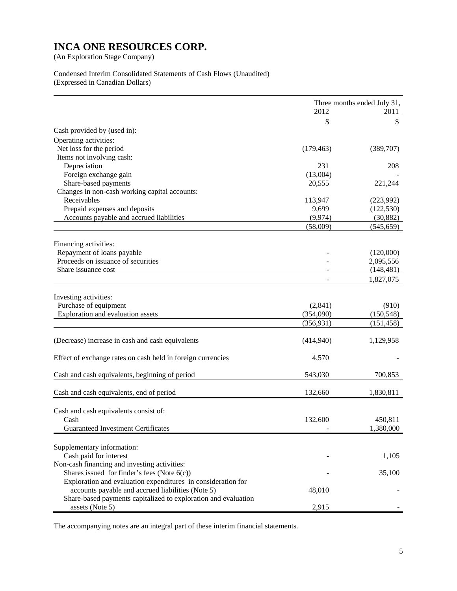#### Condensed Interim Consolidated Statements of Cash Flows (Unaudited) (Expressed in Canadian Dollars)

|                                                                | Three months ended July 31,<br>2012<br>2011 |            |
|----------------------------------------------------------------|---------------------------------------------|------------|
|                                                                | \$                                          | \$         |
| Cash provided by (used in):                                    |                                             |            |
| Operating activities:                                          |                                             |            |
| Net loss for the period                                        | (179, 463)                                  | (389,707)  |
| Items not involving cash:                                      |                                             |            |
| Depreciation                                                   | 231                                         | 208        |
| Foreign exchange gain                                          | (13,004)                                    |            |
| Share-based payments                                           | 20,555                                      | 221,244    |
| Changes in non-cash working capital accounts:                  |                                             |            |
| Receivables                                                    | 113,947                                     | (223,992)  |
| Prepaid expenses and deposits                                  | 9,699                                       | (122, 530) |
| Accounts payable and accrued liabilities                       | (9, 974)                                    | (30, 882)  |
|                                                                | (58,009)                                    | (545, 659) |
|                                                                |                                             |            |
| Financing activities:<br>Repayment of loans payable            |                                             | (120,000)  |
| Proceeds on issuance of securities                             |                                             | 2,095,556  |
| Share issuance cost                                            |                                             | (148, 481) |
|                                                                |                                             | 1,827,075  |
|                                                                |                                             |            |
| Investing activities:                                          |                                             |            |
| Purchase of equipment                                          | (2,841)                                     | (910)      |
| Exploration and evaluation assets                              | (354,090)                                   | (150, 548) |
|                                                                | (356, 931)                                  | (151, 458) |
| (Decrease) increase in cash and cash equivalents               | (414,940)                                   | 1,129,958  |
| Effect of exchange rates on cash held in foreign currencies    | 4,570                                       |            |
|                                                                |                                             |            |
| Cash and cash equivalents, beginning of period                 | 543,030                                     | 700,853    |
| Cash and cash equivalents, end of period                       | 132,660                                     | 1,830,811  |
|                                                                |                                             |            |
| Cash and cash equivalents consist of:                          |                                             |            |
| Cash                                                           | 132,600                                     | 450,811    |
| <b>Guaranteed Investment Certificates</b>                      |                                             | 1,380,000  |
| Supplementary information:                                     |                                             |            |
| Cash paid for interest                                         |                                             | 1,105      |
| Non-cash financing and investing activities:                   |                                             |            |
| Shares issued for finder's fees (Note $6(c)$ )                 |                                             | 35,100     |
| Exploration and evaluation expenditures in consideration for   |                                             |            |
| accounts payable and accrued liabilities (Note 5)              | 48,010                                      |            |
| Share-based payments capitalized to exploration and evaluation |                                             |            |
| assets (Note 5)                                                | 2,915                                       |            |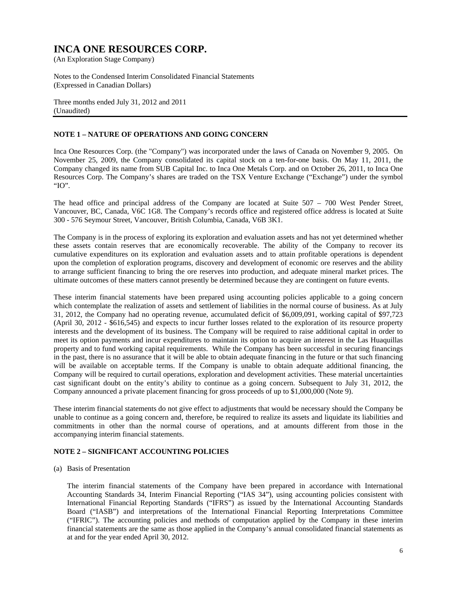Notes to the Condensed Interim Consolidated Financial Statements (Expressed in Canadian Dollars)

Three months ended July 31, 2012 and 2011 (Unaudited)

#### **NOTE 1 – NATURE OF OPERATIONS AND GOING CONCERN**

Inca One Resources Corp. (the "Company") was incorporated under the laws of Canada on November 9, 2005. On November 25, 2009, the Company consolidated its capital stock on a ten-for-one basis. On May 11, 2011, the Company changed its name from SUB Capital Inc. to Inca One Metals Corp. and on October 26, 2011, to Inca One Resources Corp. The Company's shares are traded on the TSX Venture Exchange ("Exchange") under the symbol "IO".

The head office and principal address of the Company are located at Suite 507 – 700 West Pender Street, Vancouver, BC, Canada, V6C 1G8. The Company's records office and registered office address is located at Suite 300 - 576 Seymour Street, Vancouver, British Columbia, Canada, V6B 3K1.

The Company is in the process of exploring its exploration and evaluation assets and has not yet determined whether these assets contain reserves that are economically recoverable. The ability of the Company to recover its cumulative expenditures on its exploration and evaluation assets and to attain profitable operations is dependent upon the completion of exploration programs, discovery and development of economic ore reserves and the ability to arrange sufficient financing to bring the ore reserves into production, and adequate mineral market prices. The ultimate outcomes of these matters cannot presently be determined because they are contingent on future events.

These interim financial statements have been prepared using accounting policies applicable to a going concern which contemplate the realization of assets and settlement of liabilities in the normal course of business. As at July 31, 2012, the Company had no operating revenue, accumulated deficit of \$6,009,091, working capital of \$97,723 (April 30, 2012 - \$616,545) and expects to incur further losses related to the exploration of its resource property interests and the development of its business. The Company will be required to raise additional capital in order to meet its option payments and incur expenditures to maintain its option to acquire an interest in the Las Huaquillas property and to fund working capital requirements. While the Company has been successful in securing financings in the past, there is no assurance that it will be able to obtain adequate financing in the future or that such financing will be available on acceptable terms. If the Company is unable to obtain adequate additional financing, the Company will be required to curtail operations, exploration and development activities. These material uncertainties cast significant doubt on the entity's ability to continue as a going concern. Subsequent to July 31, 2012, the Company announced a private placement financing for gross proceeds of up to \$1,000,000 (Note 9).

These interim financial statements do not give effect to adjustments that would be necessary should the Company be unable to continue as a going concern and, therefore, be required to realize its assets and liquidate its liabilities and commitments in other than the normal course of operations, and at amounts different from those in the accompanying interim financial statements.

#### **NOTE 2 – SIGNIFICANT ACCOUNTING POLICIES**

(a) Basis of Presentation

The interim financial statements of the Company have been prepared in accordance with International Accounting Standards 34, Interim Financial Reporting ("IAS 34"), using accounting policies consistent with International Financial Reporting Standards ("IFRS") as issued by the International Accounting Standards Board ("IASB") and interpretations of the International Financial Reporting Interpretations Committee ("IFRIC"). The accounting policies and methods of computation applied by the Company in these interim financial statements are the same as those applied in the Company's annual consolidated financial statements as at and for the year ended April 30, 2012.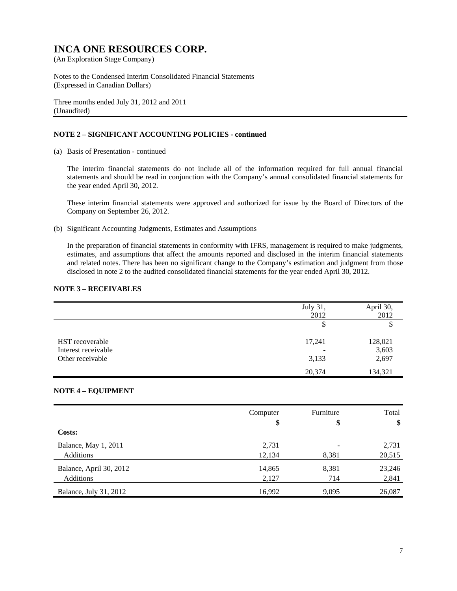Notes to the Condensed Interim Consolidated Financial Statements (Expressed in Canadian Dollars)

Three months ended July 31, 2012 and 2011 (Unaudited)

#### **NOTE 2 – SIGNIFICANT ACCOUNTING POLICIES - continued**

(a) Basis of Presentation - continued

The interim financial statements do not include all of the information required for full annual financial statements and should be read in conjunction with the Company's annual consolidated financial statements for the year ended April 30, 2012.

These interim financial statements were approved and authorized for issue by the Board of Directors of the Company on September 26, 2012.

(b) Significant Accounting Judgments, Estimates and Assumptions

In the preparation of financial statements in conformity with IFRS, management is required to make judgments, estimates, and assumptions that affect the amounts reported and disclosed in the interim financial statements and related notes. There has been no significant change to the Company's estimation and judgment from those disclosed in note 2 to the audited consolidated financial statements for the year ended April 30, 2012.

#### **NOTE 3 – RECEIVABLES**

|                     | July 31, | April 30, |
|---------------------|----------|-----------|
|                     | 2012     | 2012      |
|                     | \$       |           |
| HST recoverable     | 17,241   | 128,021   |
| Interest receivable |          | 3,603     |
| Other receivable    | 3,133    | 2,697     |
|                     | 20,374   | 134,321   |

#### **NOTE 4 – EQUIPMENT**

|                         | Computer | Furniture | Total  |
|-------------------------|----------|-----------|--------|
|                         | \$       | \$        | \$     |
| Costs:                  |          |           |        |
| Balance, May 1, 2011    | 2,731    |           | 2,731  |
| <b>Additions</b>        | 12,134   | 8,381     | 20,515 |
| Balance, April 30, 2012 | 14,865   | 8,381     | 23,246 |
| Additions               | 2,127    | 714       | 2,841  |
| Balance, July 31, 2012  | 16,992   | 9,095     | 26,087 |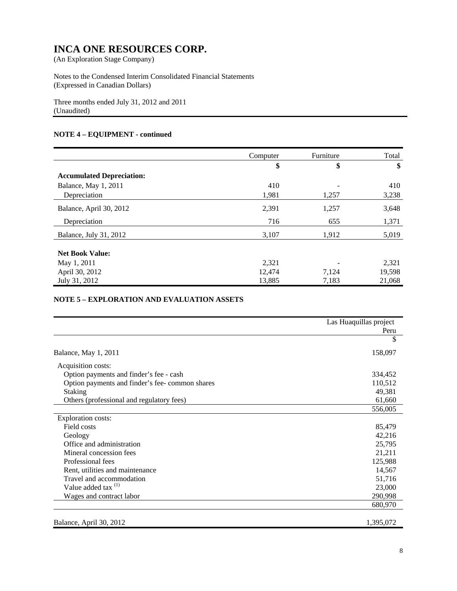Notes to the Condensed Interim Consolidated Financial Statements (Expressed in Canadian Dollars)

Three months ended July 31, 2012 and 2011 (Unaudited)

#### **NOTE 4 – EQUIPMENT - continued**

|                                  | Computer | Furniture | Total  |
|----------------------------------|----------|-----------|--------|
|                                  | \$       | \$        | \$     |
| <b>Accumulated Depreciation:</b> |          |           |        |
| Balance, May 1, 2011             | 410      |           | 410    |
| Depreciation                     | 1,981    | 1,257     | 3,238  |
| Balance, April 30, 2012          | 2,391    | 1,257     | 3,648  |
| Depreciation                     | 716      | 655       | 1,371  |
| Balance, July 31, 2012           | 3,107    | 1,912     | 5,019  |
| <b>Net Book Value:</b>           |          |           |        |
| May 1, 2011                      | 2,321    |           | 2,321  |
| April 30, 2012                   | 12,474   | 7,124     | 19,598 |
| July 31, 2012                    | 13,885   | 7,183     | 21,068 |

#### **NOTE 5 – EXPLORATION AND EVALUATION ASSETS**

|                                                | Las Huaquillas project |
|------------------------------------------------|------------------------|
|                                                | Peru                   |
|                                                | \$                     |
| Balance, May 1, 2011                           | 158,097                |
| Acquisition costs:                             |                        |
| Option payments and finder's fee - cash        | 334,452                |
| Option payments and finder's fee-common shares | 110,512                |
| <b>Staking</b>                                 | 49,381                 |
| Others (professional and regulatory fees)      | 61,660                 |
|                                                | 556,005                |
| <b>Exploration costs:</b>                      |                        |
| Field costs                                    | 85,479                 |
| Geology                                        | 42,216                 |
| Office and administration                      | 25,795                 |
| Mineral concession fees                        | 21,211                 |
| Professional fees                              | 125,988                |
| Rent, utilities and maintenance                | 14,567                 |
| Travel and accommodation                       | 51,716                 |
| Value added tax $(1)$                          | 23,000                 |
| Wages and contract labor                       | 290,998                |
|                                                | 680,970                |
| Balance, April 30, 2012                        | 1,395,072              |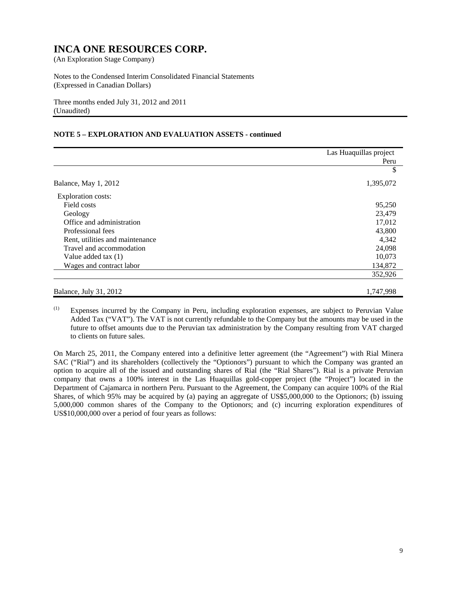Notes to the Condensed Interim Consolidated Financial Statements (Expressed in Canadian Dollars)

Three months ended July 31, 2012 and 2011 (Unaudited)

#### **NOTE 5 – EXPLORATION AND EVALUATION ASSETS - continued**

|                                 | Las Huaquillas project |
|---------------------------------|------------------------|
|                                 | Peru                   |
|                                 | \$                     |
| Balance, May 1, 2012            | 1,395,072              |
| <b>Exploration costs:</b>       |                        |
| Field costs                     | 95,250                 |
| Geology                         | 23,479                 |
| Office and administration       | 17,012                 |
| Professional fees               | 43,800                 |
| Rent, utilities and maintenance | 4,342                  |
| Travel and accommodation        | 24,098                 |
| Value added tax (1)             | 10,073                 |
| Wages and contract labor        | 134,872                |
|                                 | 352,926                |
| Balance, July 31, 2012          | 1,747,998              |

(1) Expenses incurred by the Company in Peru, including exploration expenses, are subject to Peruvian Value Added Tax ("VAT"). The VAT is not currently refundable to the Company but the amounts may be used in the future to offset amounts due to the Peruvian tax administration by the Company resulting from VAT charged to clients on future sales.

On March 25, 2011, the Company entered into a definitive letter agreement (the "Agreement") with Rial Minera SAC ("Rial") and its shareholders (collectively the "Optionors") pursuant to which the Company was granted an option to acquire all of the issued and outstanding shares of Rial (the "Rial Shares"). Rial is a private Peruvian company that owns a 100% interest in the Las Huaquillas gold-copper project (the "Project") located in the Department of Cajamarca in northern Peru. Pursuant to the Agreement, the Company can acquire 100% of the Rial Shares, of which 95% may be acquired by (a) paying an aggregate of US\$5,000,000 to the Optionors; (b) issuing 5,000,000 common shares of the Company to the Optionors; and (c) incurring exploration expenditures of US\$10,000,000 over a period of four years as follows: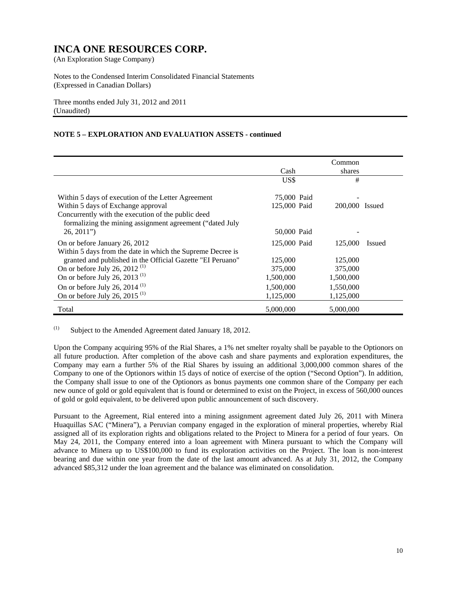Notes to the Condensed Interim Consolidated Financial Statements (Expressed in Canadian Dollars)

Three months ended July 31, 2012 and 2011 (Unaudited)

#### **NOTE 5 – EXPLORATION AND EVALUATION ASSETS - continued**

|                                                            |              | Common                   |  |
|------------------------------------------------------------|--------------|--------------------------|--|
|                                                            | Cash         | shares                   |  |
|                                                            | US\$         | #                        |  |
| Within 5 days of execution of the Letter Agreement         | 75,000 Paid  |                          |  |
| Within 5 days of Exchange approval                         | 125,000 Paid | 200,000 Issued           |  |
| Concurrently with the execution of the public deed         |              |                          |  |
| formalizing the mining assignment agreement ("dated July   |              |                          |  |
| $26, 2011$ "                                               | 50,000 Paid  |                          |  |
| On or before January 26, 2012                              | 125,000 Paid | 125,000<br><b>Issued</b> |  |
| Within 5 days from the date in which the Supreme Decree is |              |                          |  |
| granted and published in the Official Gazette "EI Peruano" | 125,000      | 125,000                  |  |
| On or before July 26, 2012 $(1)$                           | 375,000      | 375,000                  |  |
| On or before July 26, 2013 <sup>(1)</sup>                  | 1,500,000    | 1,500,000                |  |
| On or before July 26, 2014 $(1)$                           | 1,500,000    | 1,550,000                |  |
| On or before July 26, 2015 <sup>(1)</sup>                  | 1,125,000    | 1,125,000                |  |
| Total                                                      | 5,000,000    | 5,000,000                |  |

(1) Subject to the Amended Agreement dated January 18, 2012.

Upon the Company acquiring 95% of the Rial Shares, a 1% net smelter royalty shall be payable to the Optionors on all future production. After completion of the above cash and share payments and exploration expenditures, the Company may earn a further 5% of the Rial Shares by issuing an additional 3,000,000 common shares of the Company to one of the Optionors within 15 days of notice of exercise of the option ("Second Option"). In addition, the Company shall issue to one of the Optionors as bonus payments one common share of the Company per each new ounce of gold or gold equivalent that is found or determined to exist on the Project, in excess of 560,000 ounces of gold or gold equivalent, to be delivered upon public announcement of such discovery.

Pursuant to the Agreement, Rial entered into a mining assignment agreement dated July 26, 2011 with Minera Huaquillas SAC ("Minera"), a Peruvian company engaged in the exploration of mineral properties, whereby Rial assigned all of its exploration rights and obligations related to the Project to Minera for a period of four years. On May 24, 2011, the Company entered into a loan agreement with Minera pursuant to which the Company will advance to Minera up to US\$100,000 to fund its exploration activities on the Project. The loan is non-interest bearing and due within one year from the date of the last amount advanced. As at July 31, 2012, the Company advanced \$85,312 under the loan agreement and the balance was eliminated on consolidation.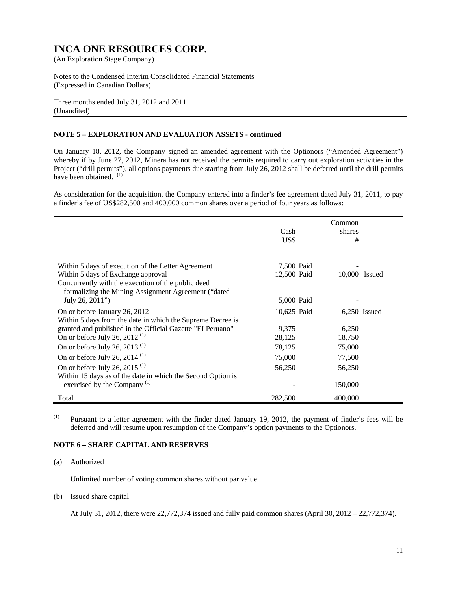Notes to the Condensed Interim Consolidated Financial Statements (Expressed in Canadian Dollars)

Three months ended July 31, 2012 and 2011 (Unaudited)

#### **NOTE 5 – EXPLORATION AND EVALUATION ASSETS - continued**

On January 18, 2012, the Company signed an amended agreement with the Optionors ("Amended Agreement") whereby if by June 27, 2012, Minera has not received the permits required to carry out exploration activities in the Project ("drill permits"), all options payments due starting from July 26, 2012 shall be deferred until the drill permits have been obtained.  $(1)$ 

As consideration for the acquisition, the Company entered into a finder's fee agreement dated July 31, 2011, to pay a finder's fee of US\$282,500 and 400,000 common shares over a period of four years as follows:

|                                                             |             | Common        |                |
|-------------------------------------------------------------|-------------|---------------|----------------|
|                                                             | Cash        | shares        |                |
|                                                             | US\$        | #             |                |
|                                                             |             |               |                |
| Within 5 days of execution of the Letter Agreement          | 7,500 Paid  |               |                |
| Within 5 days of Exchange approval                          | 12,500 Paid | 10,000 Issued |                |
| Concurrently with the execution of the public deed          |             |               |                |
| formalizing the Mining Assignment Agreement ("dated         |             |               |                |
| July 26, 2011")                                             | 5,000 Paid  |               |                |
| On or before January 26, 2012                               | 10,625 Paid |               | $6,250$ Issued |
| Within 5 days from the date in which the Supreme Decree is  |             |               |                |
| granted and published in the Official Gazette "EI Peruano"  | 9,375       | 6,250         |                |
| On or before July 26, 2012 <sup>(1)</sup>                   | 28,125      | 18,750        |                |
| On or before July 26, 2013 <sup>(1)</sup>                   | 78,125      | 75,000        |                |
| On or before July 26, 2014 $^{(1)}$                         | 75,000      | 77,500        |                |
| On or before July 26, 2015 <sup>(1)</sup>                   | 56,250      | 56,250        |                |
| Within 15 days as of the date in which the Second Option is |             |               |                |
| exercised by the Company <sup><math>(1)</math></sup>        |             | 150,000       |                |
| Total                                                       | 282,500     | 400,000       |                |

(1) Pursuant to a letter agreement with the finder dated January 19, 2012, the payment of finder's fees will be deferred and will resume upon resumption of the Company's option payments to the Optionors.

#### **NOTE 6 – SHARE CAPITAL AND RESERVES**

#### (a) Authorized

Unlimited number of voting common shares without par value.

#### (b) Issued share capital

At July 31, 2012, there were 22,772,374 issued and fully paid common shares (April 30, 2012 – 22,772,374).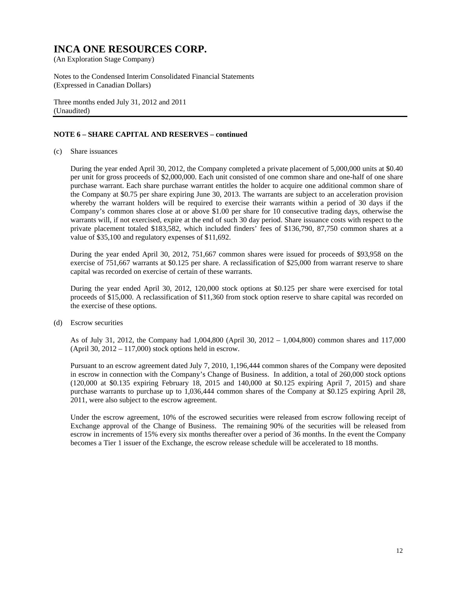Notes to the Condensed Interim Consolidated Financial Statements (Expressed in Canadian Dollars)

Three months ended July 31, 2012 and 2011 (Unaudited)

#### **NOTE 6 – SHARE CAPITAL AND RESERVES – continued**

(c) Share issuances

During the year ended April 30, 2012, the Company completed a private placement of 5,000,000 units at \$0.40 per unit for gross proceeds of \$2,000,000. Each unit consisted of one common share and one-half of one share purchase warrant. Each share purchase warrant entitles the holder to acquire one additional common share of the Company at \$0.75 per share expiring June 30, 2013. The warrants are subject to an acceleration provision whereby the warrant holders will be required to exercise their warrants within a period of 30 days if the Company's common shares close at or above \$1.00 per share for 10 consecutive trading days, otherwise the warrants will, if not exercised, expire at the end of such 30 day period. Share issuance costs with respect to the private placement totaled \$183,582, which included finders' fees of \$136,790, 87,750 common shares at a value of \$35,100 and regulatory expenses of \$11,692.

 During the year ended April 30, 2012, 751,667 common shares were issued for proceeds of \$93,958 on the exercise of 751,667 warrants at \$0.125 per share. A reclassification of \$25,000 from warrant reserve to share capital was recorded on exercise of certain of these warrants.

 During the year ended April 30, 2012, 120,000 stock options at \$0.125 per share were exercised for total proceeds of \$15,000. A reclassification of \$11,360 from stock option reserve to share capital was recorded on the exercise of these options.

(d) Escrow securities

As of July 31, 2012, the Company had 1,004,800 (April 30, 2012 – 1,004,800) common shares and 117,000 (April 30,  $2012 - 117,000$ ) stock options held in escrow.

Pursuant to an escrow agreement dated July 7, 2010, 1,196,444 common shares of the Company were deposited in escrow in connection with the Company's Change of Business. In addition, a total of 260,000 stock options (120,000 at \$0.135 expiring February 18, 2015 and 140,000 at \$0.125 expiring April 7, 2015) and share purchase warrants to purchase up to 1,036,444 common shares of the Company at \$0.125 expiring April 28, 2011, were also subject to the escrow agreement.

Under the escrow agreement, 10% of the escrowed securities were released from escrow following receipt of Exchange approval of the Change of Business. The remaining 90% of the securities will be released from escrow in increments of 15% every six months thereafter over a period of 36 months. In the event the Company becomes a Tier 1 issuer of the Exchange, the escrow release schedule will be accelerated to 18 months.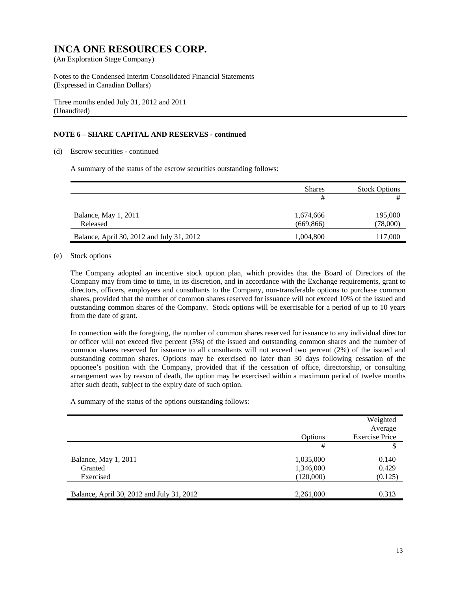Notes to the Condensed Interim Consolidated Financial Statements (Expressed in Canadian Dollars)

Three months ended July 31, 2012 and 2011 (Unaudited)

#### **NOTE 6 – SHARE CAPITAL AND RESERVES - continued**

#### (d) Escrow securities - continued

A summary of the status of the escrow securities outstanding follows:

|                                           | <b>Shares</b>          | <b>Stock Options</b> |
|-------------------------------------------|------------------------|----------------------|
|                                           | #                      |                      |
| Balance, May 1, 2011<br>Released          | 1,674,666<br>(669.866) | 195,000<br>(78,000)  |
| Balance, April 30, 2012 and July 31, 2012 | 1,004,800              | 117,000              |

#### (e) Stock options

The Company adopted an incentive stock option plan, which provides that the Board of Directors of the Company may from time to time, in its discretion, and in accordance with the Exchange requirements, grant to directors, officers, employees and consultants to the Company, non-transferable options to purchase common shares, provided that the number of common shares reserved for issuance will not exceed 10% of the issued and outstanding common shares of the Company. Stock options will be exercisable for a period of up to 10 years from the date of grant.

In connection with the foregoing, the number of common shares reserved for issuance to any individual director or officer will not exceed five percent (5%) of the issued and outstanding common shares and the number of common shares reserved for issuance to all consultants will not exceed two percent (2%) of the issued and outstanding common shares. Options may be exercised no later than 30 days following cessation of the optionee's position with the Company, provided that if the cessation of office, directorship, or consulting arrangement was by reason of death, the option may be exercised within a maximum period of twelve months after such death, subject to the expiry date of such option.

A summary of the status of the options outstanding follows:

|                                           | Options   | Weighted<br>Average<br><b>Exercise Price</b> |
|-------------------------------------------|-----------|----------------------------------------------|
|                                           | #         | \$                                           |
| Balance, May 1, 2011                      | 1,035,000 | 0.140                                        |
| Granted                                   | 1,346,000 | 0.429                                        |
| Exercised                                 | (120,000) | (0.125)                                      |
|                                           |           |                                              |
| Balance, April 30, 2012 and July 31, 2012 | 2,261,000 | 0.313                                        |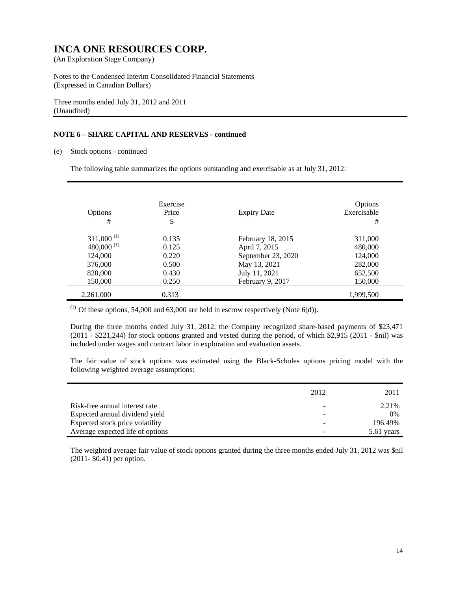Notes to the Condensed Interim Consolidated Financial Statements (Expressed in Canadian Dollars)

Three months ended July 31, 2012 and 2011 (Unaudited)

#### **NOTE 6 – SHARE CAPITAL AND RESERVES - continued**

(e) Stock options - continued

The following table summarizes the options outstanding and exercisable as at July 31, 2012:

| Options          | Exercise<br>Price | <b>Expiry Date</b> | Options<br>Exercisable |
|------------------|-------------------|--------------------|------------------------|
| #                | \$                |                    | #                      |
| $311,000^{(1)}$  | 0.135             | February 18, 2015  | 311,000                |
| 480,000 $^{(1)}$ | 0.125             | April 7, 2015      | 480,000                |
| 124,000          | 0.220             | September 23, 2020 | 124,000                |
| 376,000          | 0.500             | May 13, 2021       | 282,000                |
| 820,000          | 0.430             | July 11, 2021      | 652,500                |
| 150,000          | 0.250             | February 9, 2017   | 150,000                |
| 2,261,000        | 0.313             |                    | 1,999,500              |

 $(1)$  Of these options, 54,000 and 63,000 are held in escrow respectively (Note 6(d)).

During the three months ended July 31, 2012, the Company recognized share-based payments of \$23,471 (2011 - \$221,244) for stock options granted and vested during the period, of which \$2,915 (2011 - \$nil) was included under wages and contract labor in exploration and evaluation assets.

The fair value of stock options was estimated using the Black-Scholes options pricing model with the following weighted average assumptions:

|                                  | 2012 | 2011       |
|----------------------------------|------|------------|
| Risk-free annual interest rate   |      | 2.21%      |
| Expected annual dividend yield   |      | 0%         |
| Expected stock price volatility  |      | 196.49%    |
| Average expected life of options |      | 5.61 years |

The weighted average fair value of stock options granted during the three months ended July 31, 2012 was \$nil (2011- \$0.41) per option.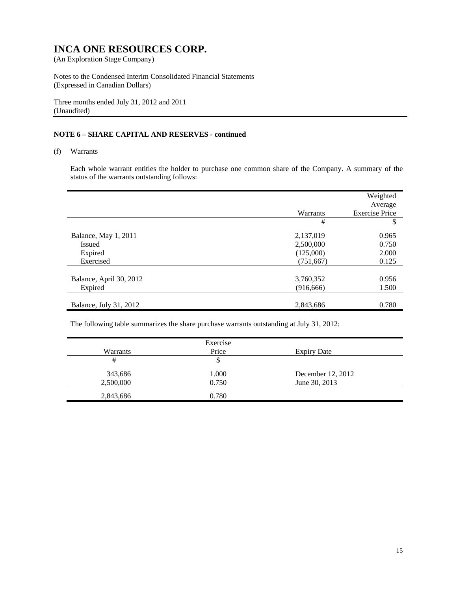Notes to the Condensed Interim Consolidated Financial Statements (Expressed in Canadian Dollars)

Three months ended July 31, 2012 and 2011 (Unaudited)

#### **NOTE 6 – SHARE CAPITAL AND RESERVES - continued**

#### (f) Warrants

Each whole warrant entitles the holder to purchase one common share of the Company. A summary of the status of the warrants outstanding follows:

|                         |            | Weighted<br>Average   |
|-------------------------|------------|-----------------------|
|                         | Warrants   | <b>Exercise Price</b> |
|                         | #          | \$                    |
| Balance, May 1, 2011    | 2,137,019  | 0.965                 |
| <b>Issued</b>           | 2,500,000  | 0.750                 |
| Expired                 | (125,000)  | 2.000                 |
| Exercised               | (751, 667) | 0.125                 |
|                         |            |                       |
| Balance, April 30, 2012 | 3,760,352  | 0.956                 |
| Expired                 | (916, 666) | 1.500                 |
|                         |            |                       |
| Balance, July 31, 2012  | 2,843,686  | 0.780                 |

The following table summarizes the share purchase warrants outstanding at July 31, 2012:

|           | Exercise |                    |  |
|-----------|----------|--------------------|--|
| Warrants  | Price    | <b>Expiry Date</b> |  |
| #         | \$       |                    |  |
| 343,686   | 1.000    | December 12, 2012  |  |
| 2,500,000 | 0.750    | June 30, 2013      |  |
| 2,843,686 | 0.780    |                    |  |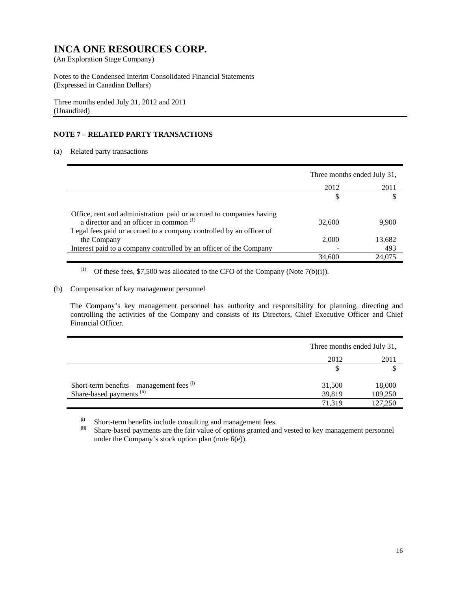Notes to the Condensed Interim Consolidated Financial Statements (Expressed in Canadian Dollars)

Three months ended July 31, 2012 and 2011 (Unaudited)

#### **NOTE 7 – RELATED PARTY TRANSACTIONS**

#### (a) Related party transactions

|                                                                                                                                                                                                  | Three months ended July 31, |        |
|--------------------------------------------------------------------------------------------------------------------------------------------------------------------------------------------------|-----------------------------|--------|
|                                                                                                                                                                                                  | 2012                        | 2011   |
|                                                                                                                                                                                                  |                             |        |
| Office, rent and administration paid or accrued to companies having<br>a director and an officer in common <sup>(1)</sup><br>Legal fees paid or accrued to a company controlled by an officer of | 32,600                      | 9,900  |
| the Company                                                                                                                                                                                      | 2.000                       | 13,682 |
| Interest paid to a company controlled by an officer of the Company                                                                                                                               |                             | 493    |
|                                                                                                                                                                                                  | 34,600                      | 24,075 |

(1) Of these fees,  $$7,500$  was allocated to the CFO of the Company (Note 7(b)(i)).

#### (b) Compensation of key management personnel

The Company's key management personnel has authority and responsibility for planning, directing and controlling the activities of the Company and consists of its Directors, Chief Executive Officer and Chief Financial Officer.

|                                             | Three months ended July 31, |         |
|---------------------------------------------|-----------------------------|---------|
|                                             | 2012                        | 2011    |
|                                             |                             |         |
| Short-term benefits – management fees $(1)$ | 31,500                      | 18,000  |
| Share-based payments <sup>(ii)</sup>        | 39,819                      | 109,250 |
|                                             | 71.319                      | 127,250 |

 $\begin{array}{c} \n\text{(i)}\\ \n\text{(i)}\\ \n\text{(i)}\\ \n\text{(i)}\\ \n\text{(i)}\\ \n\text{(ii)}\\ \n\text{(i)}\\ \n\text{(ii)}\\ \n\text{(iii)}\\ \n\text{(iv)}\\ \n\text{(iv)}\\ \n\text{(iv)}\\ \n\text{(v)}\\ \n\text{(v)}\\ \n\text{(v)}\\ \n\text{(v)}\\ \n\text{(v)}\\ \n\text{(v)}\\ \n\text{(v)}\\ \n\text{(v)}\\ \n\text{(v)}\\ \n\text{(v)}\\ \n\text{(v)}\\ \n\text{(v)}\\ \n\text{(v)}\\ \n\text{(v)}\\ \n\text{($ 

Share-based payments are the fair value of options granted and vested to key management personnel under the Company's stock option plan (note  $6(e)$ ).